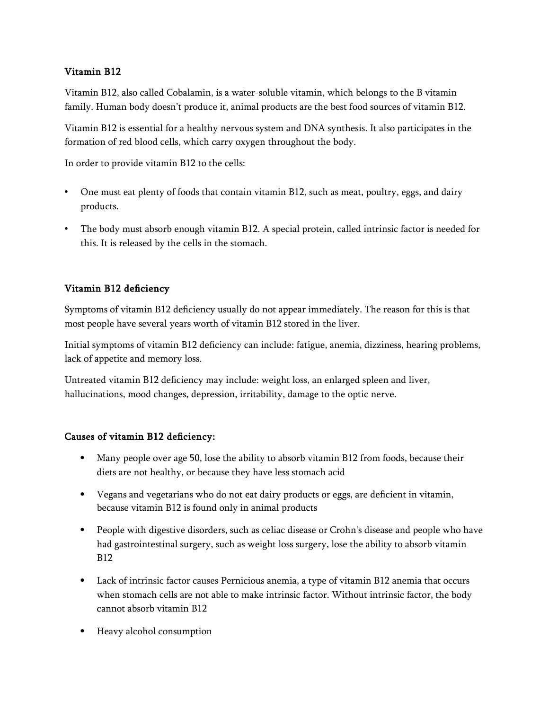## Vitamin B12

Vitamin B12, also called Cobalamin, is a water-soluble vitamin, which belongs to the B vitamin family. Human body doesn't produce it, animal products are the best food sources of vitamin B12.

Vitamin B12 is essential for a healthy nervous system and DNA synthesis. It also participates in the formation of red blood cells, which carry oxygen throughout the body.

In order to provide vitamin B12 to the cells:

- One must eat plenty of foods that contain vitamin B12, such as meat, poultry, eggs, and dairy products.
- The body must absorb enough vitamin B12. A special protein, called intrinsic factor is needed for this. It is released by the cells in the stomach.

## Vitamin B12 deficiency

Symptoms of vitamin B12 deficiency usually do not appear immediately. The reason for this is that most people have several years worth of vitamin B12 stored in the liver.

Initial symptoms of vitamin B12 deficiency can include: fatigue, anemia, dizziness, hearing problems, lack of appetite and memory loss.

Untreated vitamin B12 deficiency may include: weight loss, an enlarged spleen and liver, hallucinations, mood changes, depression, irritability, damage to the optic nerve.

## Causes of vitamin B12 deficiency:

- Many people over age 50, lose the ability to absorb vitamin B12 from foods, because their diets are not healthy, or because they have less stomach acid
- Vegans and vegetarians who do not eat dairy products or eggs, are deficient in vitamin, because vitamin B12 is found only in animal products
- People with digestive disorders, such as celiac disease or Crohn's disease and people who have had gastrointestinal surgery, such as weight loss surgery, lose the ability to absorb vitamin B12
- Lack of intrinsic factor causes Pernicious anemia, a type of vitamin B12 anemia that occurs when stomach cells are not able to make intrinsic factor. Without intrinsic factor, the body cannot absorb vitamin B12
- Heavy alcohol consumption